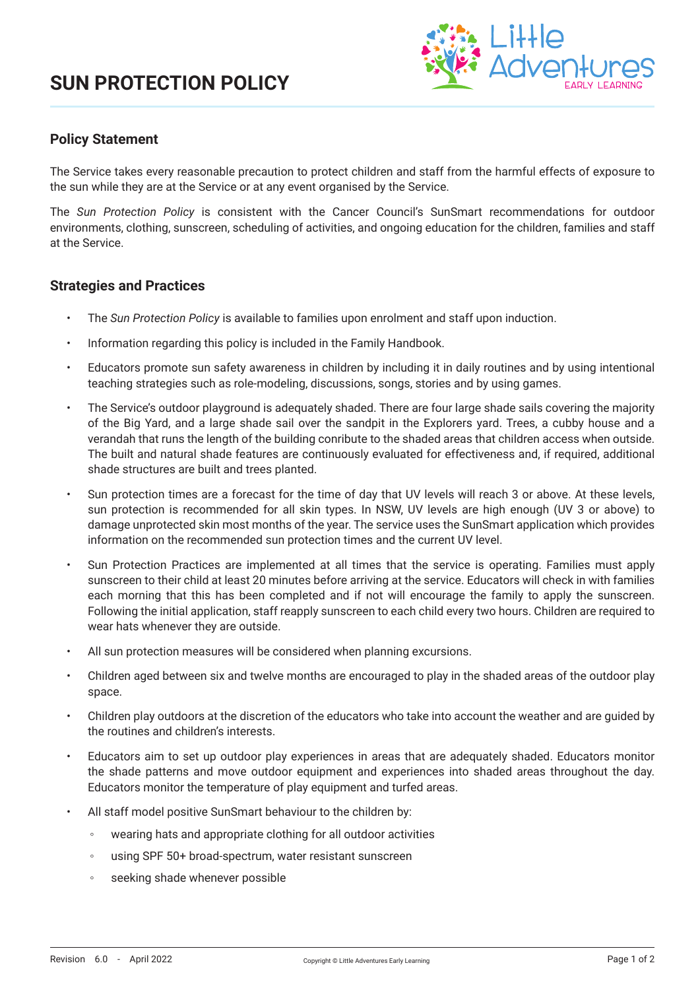# **SUN PROTECTION POLICY**



## **Policy Statement**

The Service takes every reasonable precaution to protect children and staff from the harmful effects of exposure to the sun while they are at the Service or at any event organised by the Service.

The *Sun Protection Policy* is consistent with the Cancer Council's SunSmart recommendations for outdoor environments, clothing, sunscreen, scheduling of activities, and ongoing education for the children, families and staff at the Service.

#### **Strategies and Practices**

- The *Sun Protection Policy* is available to families upon enrolment and staff upon induction.
- Information regarding this policy is included in the Family Handbook.
- Educators promote sun safety awareness in children by including it in daily routines and by using intentional teaching strategies such as role-modeling, discussions, songs, stories and by using games.
- The Service's outdoor playground is adequately shaded. There are four large shade sails covering the majority of the Big Yard, and a large shade sail over the sandpit in the Explorers yard. Trees, a cubby house and a verandah that runs the length of the building conribute to the shaded areas that children access when outside. The built and natural shade features are continuously evaluated for effectiveness and, if required, additional shade structures are built and trees planted.
- Sun protection times are a forecast for the time of day that UV levels will reach 3 or above. At these levels, sun protection is recommended for all skin types. In NSW, UV levels are high enough (UV 3 or above) to damage unprotected skin most months of the year. The service uses the SunSmart application which provides information on the recommended sun protection times and the current UV level.
- Sun Protection Practices are implemented at all times that the service is operating. Families must apply sunscreen to their child at least 20 minutes before arriving at the service. Educators will check in with families each morning that this has been completed and if not will encourage the family to apply the sunscreen. Following the initial application, staff reapply sunscreen to each child every two hours. Children are required to wear hats whenever they are outside.
- All sun protection measures will be considered when planning excursions.
- Children aged between six and twelve months are encouraged to play in the shaded areas of the outdoor play space.
- Children play outdoors at the discretion of the educators who take into account the weather and are guided by the routines and children's interests.
- Educators aim to set up outdoor play experiences in areas that are adequately shaded. Educators monitor the shade patterns and move outdoor equipment and experiences into shaded areas throughout the day. Educators monitor the temperature of play equipment and turfed areas.
- All staff model positive SunSmart behaviour to the children by:
	- wearing hats and appropriate clothing for all outdoor activities
	- using SPF 50+ broad-spectrum, water resistant sunscreen
	- seeking shade whenever possible